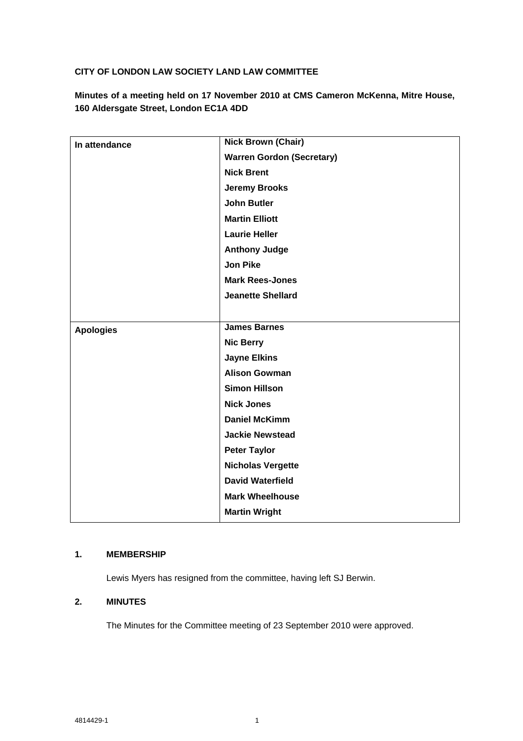# **CITY OF LONDON LAW SOCIETY LAND LAW COMMITTEE**

**Minutes of a meeting held on 17 November 2010 at CMS Cameron McKenna, Mitre House, 160 Aldersgate Street, London EC1A 4DD**

| In attendance    | <b>Nick Brown (Chair)</b>        |
|------------------|----------------------------------|
|                  | <b>Warren Gordon (Secretary)</b> |
|                  | <b>Nick Brent</b>                |
|                  | <b>Jeremy Brooks</b>             |
|                  | <b>John Butler</b>               |
|                  | <b>Martin Elliott</b>            |
|                  | <b>Laurie Heller</b>             |
|                  | <b>Anthony Judge</b>             |
|                  | <b>Jon Pike</b>                  |
|                  | <b>Mark Rees-Jones</b>           |
|                  | <b>Jeanette Shellard</b>         |
|                  |                                  |
| <b>Apologies</b> | <b>James Barnes</b>              |
|                  | <b>Nic Berry</b>                 |
|                  | <b>Jayne Elkins</b>              |
|                  | <b>Alison Gowman</b>             |
|                  | <b>Simon Hillson</b>             |
|                  | <b>Nick Jones</b>                |
|                  | <b>Daniel McKimm</b>             |
|                  | <b>Jackie Newstead</b>           |
|                  | <b>Peter Taylor</b>              |
|                  | <b>Nicholas Vergette</b>         |
|                  | <b>David Waterfield</b>          |
|                  | <b>Mark Wheelhouse</b>           |
|                  | <b>Martin Wright</b>             |

# **1. MEMBERSHIP**

Lewis Myers has resigned from the committee, having left SJ Berwin.

# **2. MINUTES**

The Minutes for the Committee meeting of 23 September 2010 were approved.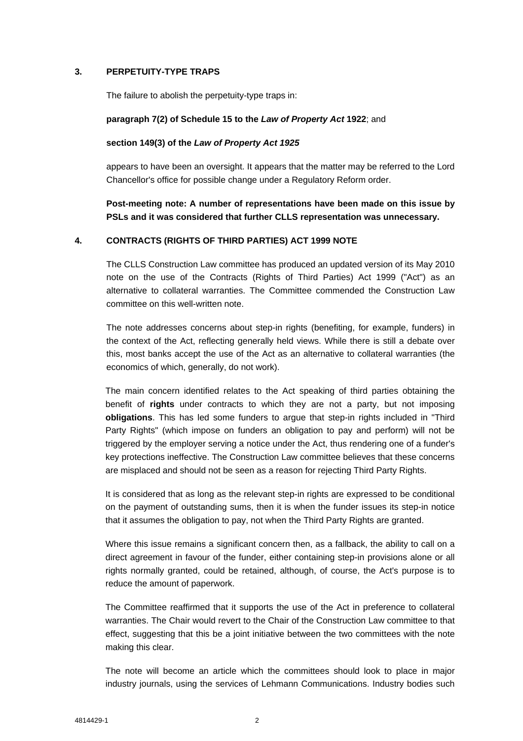### **3. PERPETUITY-TYPE TRAPS**

The failure to abolish the perpetuity-type traps in:

#### **paragraph 7(2) of Schedule 15 to the** *Law of Property Act* **1922**; and

#### **section 149(3) of the** *Law of Property Act 1925*

appears to have been an oversight. It appears that the matter may be referred to the Lord Chancellor's office for possible change under a Regulatory Reform order.

**Post-meeting note: A number of representations have been made on this issue by PSLs and it was considered that further CLLS representation was unnecessary.**

#### **4. CONTRACTS (RIGHTS OF THIRD PARTIES) ACT 1999 NOTE**

The CLLS Construction Law committee has produced an updated version of its May 2010 note on the use of the Contracts (Rights of Third Parties) Act 1999 ("Act") as an alternative to collateral warranties. The Committee commended the Construction Law committee on this well-written note.

The note addresses concerns about step-in rights (benefiting, for example, funders) in the context of the Act, reflecting generally held views. While there is still a debate over this, most banks accept the use of the Act as an alternative to collateral warranties (the economics of which, generally, do not work).

The main concern identified relates to the Act speaking of third parties obtaining the benefit of **rights** under contracts to which they are not a party, but not imposing **obligations**. This has led some funders to argue that step-in rights included in "Third Party Rights" (which impose on funders an obligation to pay and perform) will not be triggered by the employer serving a notice under the Act, thus rendering one of a funder's key protections ineffective. The Construction Law committee believes that these concerns are misplaced and should not be seen as a reason for rejecting Third Party Rights.

It is considered that as long as the relevant step-in rights are expressed to be conditional on the payment of outstanding sums, then it is when the funder issues its step-in notice that it assumes the obligation to pay, not when the Third Party Rights are granted.

Where this issue remains a significant concern then, as a fallback, the ability to call on a direct agreement in favour of the funder, either containing step-in provisions alone or all rights normally granted, could be retained, although, of course, the Act's purpose is to reduce the amount of paperwork.

The Committee reaffirmed that it supports the use of the Act in preference to collateral warranties. The Chair would revert to the Chair of the Construction Law committee to that effect, suggesting that this be a joint initiative between the two committees with the note making this clear.

The note will become an article which the committees should look to place in major industry journals, using the services of Lehmann Communications. Industry bodies such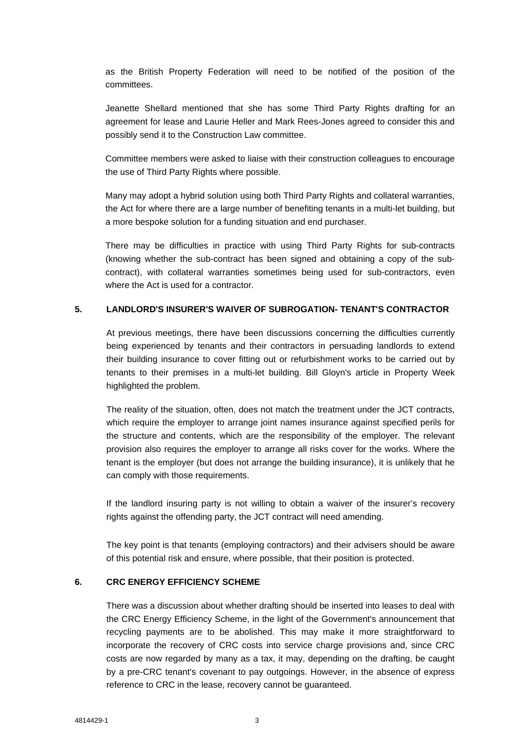as the British Property Federation will need to be notified of the position of the committees.

Jeanette Shellard mentioned that she has some Third Party Rights drafting for an agreement for lease and Laurie Heller and Mark Rees-Jones agreed to consider this and possibly send it to the Construction Law committee.

Committee members were asked to liaise with their construction colleagues to encourage the use of Third Party Rights where possible.

Many may adopt a hybrid solution using both Third Party Rights and collateral warranties, the Act for where there are a large number of benefiting tenants in a multi-let building, but a more bespoke solution for a funding situation and end purchaser.

There may be difficulties in practice with using Third Party Rights for sub-contracts (knowing whether the sub-contract has been signed and obtaining a copy of the subcontract), with collateral warranties sometimes being used for sub-contractors, even where the Act is used for a contractor.

#### **5. LANDLORD'S INSURER'S WAIVER OF SUBROGATION- TENANT'S CONTRACTOR**

At previous meetings, there have been discussions concerning the difficulties currently being experienced by tenants and their contractors in persuading landlords to extend their building insurance to cover fitting out or refurbishment works to be carried out by tenants to their premises in a multi-let building. Bill Gloyn's article in Property Week highlighted the problem.

The reality of the situation, often, does not match the treatment under the JCT contracts, which require the employer to arrange joint names insurance against specified perils for the structure and contents, which are the responsibility of the employer. The relevant provision also requires the employer to arrange all risks cover for the works. Where the tenant is the employer (but does not arrange the building insurance), it is unlikely that he can comply with those requirements.

If the landlord insuring party is not willing to obtain a waiver of the insurer's recovery rights against the offending party, the JCT contract will need amending.

The key point is that tenants (employing contractors) and their advisers should be aware of this potential risk and ensure, where possible, that their position is protected.

### **6. CRC ENERGY EFFICIENCY SCHEME**

There was a discussion about whether drafting should be inserted into leases to deal with the CRC Energy Efficiency Scheme, in the light of the Government's announcement that recycling payments are to be abolished. This may make it more straightforward to incorporate the recovery of CRC costs into service charge provisions and, since CRC costs are now regarded by many as a tax, it may, depending on the drafting, be caught by a pre-CRC tenant's covenant to pay outgoings. However, in the absence of express reference to CRC in the lease, recovery cannot be guaranteed.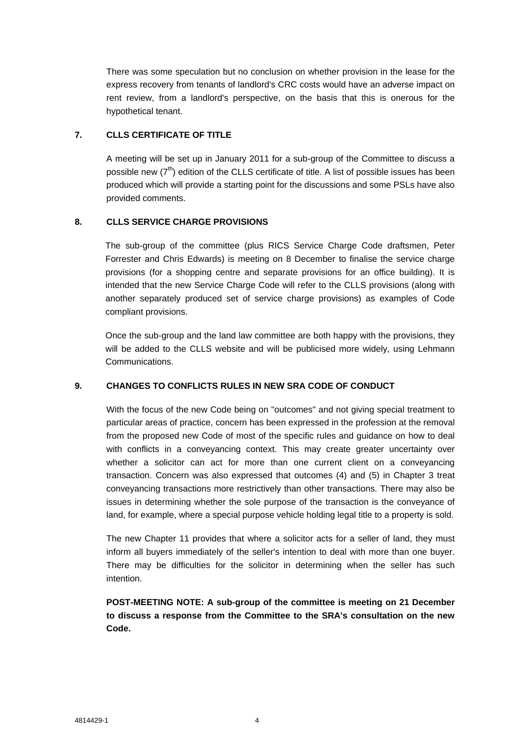There was some speculation but no conclusion on whether provision in the lease for the express recovery from tenants of landlord's CRC costs would have an adverse impact on rent review, from a landlord's perspective, on the basis that this is onerous for the hypothetical tenant.

# **7. CLLS CERTIFICATE OF TITLE**

A meeting will be set up in January 2011 for a sub-group of the Committee to discuss a possible new  $(7<sup>th</sup>)$  edition of the CLLS certificate of title. A list of possible issues has been produced which will provide a starting point for the discussions and some PSLs have also provided comments.

## **8. CLLS SERVICE CHARGE PROVISIONS**

The sub-group of the committee (plus RICS Service Charge Code draftsmen, Peter Forrester and Chris Edwards) is meeting on 8 December to finalise the service charge provisions (for a shopping centre and separate provisions for an office building). It is intended that the new Service Charge Code will refer to the CLLS provisions (along with another separately produced set of service charge provisions) as examples of Code compliant provisions.

Once the sub-group and the land law committee are both happy with the provisions, they will be added to the CLLS website and will be publicised more widely, using Lehmann Communications.

### **9. CHANGES TO CONFLICTS RULES IN NEW SRA CODE OF CONDUCT**

With the focus of the new Code being on "outcomes" and not giving special treatment to particular areas of practice, concern has been expressed in the profession at the removal from the proposed new Code of most of the specific rules and guidance on how to deal with conflicts in a conveyancing context. This may create greater uncertainty over whether a solicitor can act for more than one current client on a conveyancing transaction. Concern was also expressed that outcomes (4) and (5) in Chapter 3 treat conveyancing transactions more restrictively than other transactions. There may also be issues in determining whether the sole purpose of the transaction is the conveyance of land, for example, where a special purpose vehicle holding legal title to a property is sold.

The new Chapter 11 provides that where a solicitor acts for a seller of land, they must inform all buyers immediately of the seller's intention to deal with more than one buyer. There may be difficulties for the solicitor in determining when the seller has such intention.

**POST-MEETING NOTE: A sub-group of the committee is meeting on 21 December to discuss a response from the Committee to the SRA's consultation on the new Code.**